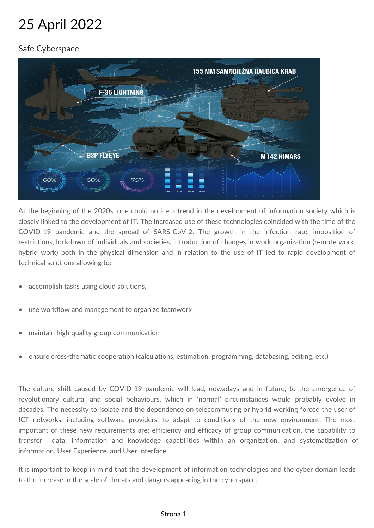## 25 April 2022

## Safe Cyberspace



At the beginning of the 2020s, one could notice a trend in the development of information society which is closely linked to the development of IT. The increased use of these technologies coincided with the time of the COVID-19 pandemic and the spread of SARS-CoV-2. The growth in the infection rate, imposition of restrictions, lockdown of individuals and societies, introduction of changes in work organization (remote work, hybrid work) both in the physical dimension and in relation to the use of IT led to rapid development of technical solutions allowing to:

- accomplish tasks using cloud solutions,
- use workflow and management to organize teamwork
- maintain high quality group communication
- ensure cross-thematic cooperation (calculations, estimation, programming, databasing, editing, etc.)

The culture shift caused by COVID-19 pandemic will lead, nowadays and in future, to the emergence of revolutionary cultural and social behaviours, which in 'normal' circumstances would probably evolve in decades. The necessity to isolate and the dependence on telecommuting or hybrid working forced the user of ICT networks, including software providers, to adapt to conditions of the new environment. The most important of these new requirements are: efficiency and efficacy of group communication, the capability to transfer data, information and knowledge capabilities within an organization, and systematization of information, User Experience, and User Interface.

It is important to keep in mind that the development of information technologies and the cyber domain leads to the increase in the scale of threats and dangers appearing in the cyberspace.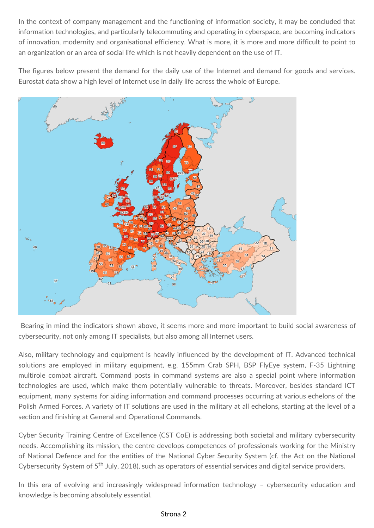In the context of company management and the functioning of information society, it may be concluded that information technologies, and particularly telecommuting and operating in cyberspace, are becoming indicators of innovation, modernity and organisational efficiency. What is more, it is more and more difficult to point to an organization or an area of social life which is not heavily dependent on the use of IT.

The figures below present the demand for the daily use of the Internet and demand for goods and services. Eurostat data show a high level of Internet use in daily life across the whole of Europe.



Bearing in mind the indicators shown above, it seems more and more important to build social awareness of cybersecurity, not only among IT specialists, but also among all Internet users.

Also, military technology and equipment is heavily influenced by the development of IT. Advanced technical solutions are employed in military equipment, e.g. 155mm Crab SPH, BSP FlyEye system, F-35 Lightning multirole combat aircraft. Command posts in command systems are also a special point where information technologies are used, which make them potentially vulnerable to threats. Moreover, besides standard ICT equipment, many systems for aiding information and command processes occurring at various echelons of the Polish Armed Forces. A variety of IT solutions are used in the military at all echelons, starting at the level of a section and finishing at General and Operational Commands.

Cyber Security Training Centre of Excellence (CST CoE) is addressing both societal and military cybersecurity needs. Accomplishing its mission, the centre develops competences of professionals working for the Ministry of National Defence and for the entities of the National Cyber Security System (cf. the Act on the National Cybersecurity System of 5<sup>th</sup> July, 2018), such as operators of essential services and digital service providers.

In this era of evolving and increasingly widespread information technology – cybersecurity education and knowledge is becoming absolutely essential.